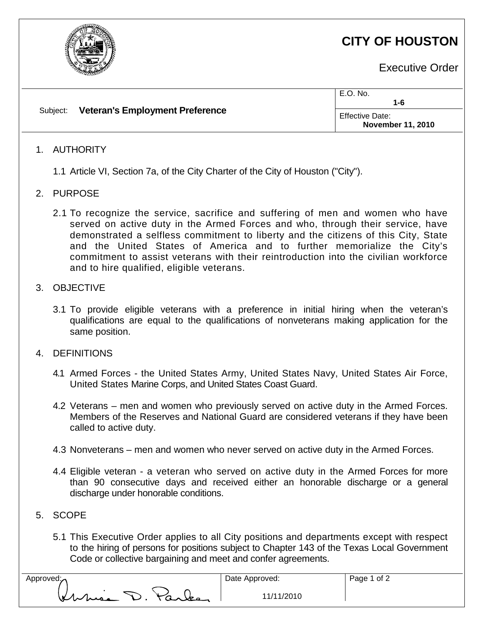

# **CITY OF HOUSTON**

Executive Order

| Subject: | <b>Veteran's Employment Preference</b> | E.O. No.<br>1-6                             |
|----------|----------------------------------------|---------------------------------------------|
|          |                                        | Effective Date:<br><b>November 11, 2010</b> |

## 1. AUTHORITY

- 1.1 Article VI, Section 7a, of the City Charter of the City of Houston ("City").
- 2. PURPOSE
	- 2.1 To recognize the service, sacrifice and suffering of men and women who have served on active duty in the Armed Forces and who, through their service, have demonstrated a selfless commitment to liberty and the citizens of this City, State and the United States of America and to further memorialize the City's commitment to assist veterans with their reintroduction into the civilian workforce and to hire qualified, eligible veterans.

## 3. OBJECTIVE

3.1 To provide eligible veterans with a preference in initial hiring when the veteran's qualifications are equal to the qualifications of nonveterans making application for the same position.

## 4. DEFINITIONS

- 4.1 Armed Forces the United States Army, United States Navy, United States Air Force, United States Marine Corps, and United States Coast Guard.
- 4.2 Veterans men and women who previously served on active duty in the Armed Forces. Members of the Reserves and National Guard are considered veterans if they have been called to active duty.
- 4.3 Nonveterans men and women who never served on active duty in the Armed Forces.
- 4.4 Eligible veteran a veteran who served on active duty in the Armed Forces for more than 90 consecutive days and received either an honorable discharge or a general discharge under honorable conditions.

## 5. SCOPE

5.1 This Executive Order applies to all City positions and departments except with respect to the hiring of persons for positions subject to Chapter 143 of the Texas Local Government Code or collective bargaining and meet and confer agreements.

| Approved: $\lambda$ |                 |  |  |
|---------------------|-----------------|--|--|
|                     | Kurne D. Parler |  |  |
|                     |                 |  |  |

Date Approved: